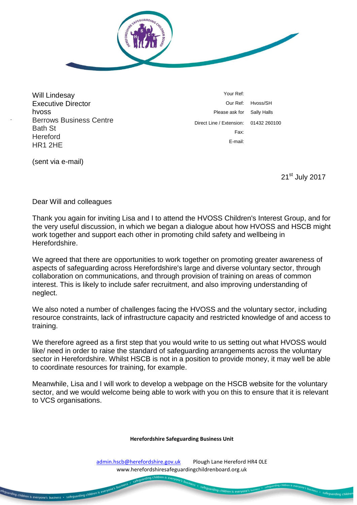

Will Lindesay Executive Director hvoss Berrows Business Centre Bath St **Hereford** HR1 2HE

Your Ref: Our Ref: Hvoss/SH Please ask for Sally Halls Direct Line / Extension: 01432 260100 Fax: E-mail:

(sent via e-mail)

uarding children is everyone's business - safeguarding children is everyo

21<sup>st</sup> July 2017

safeguarding chil

Dear Will and colleagues

Thank you again for inviting Lisa and I to attend the HVOSS Children's Interest Group, and for the very useful discussion, in which we began a dialogue about how HVOSS and HSCB might work together and support each other in promoting child safety and wellbeing in Herefordshire.

We agreed that there are opportunities to work together on promoting greater awareness of aspects of safeguarding across Herefordshire's large and diverse voluntary sector, through collaboration on communications, and through provision of training on areas of common interest. This is likely to include safer recruitment, and also improving understanding of neglect.

We also noted a number of challenges facing the HVOSS and the voluntary sector, including resource constraints, lack of infrastructure capacity and restricted knowledge of and access to training.

We therefore agreed as a first step that you would write to us setting out what HVOSS would like/ need in order to raise the standard of safeguarding arrangements across the voluntary sector in Herefordshire. Whilst HSCB is not in a position to provide money, it may well be able to coordinate resources for training, for example.

Meanwhile, Lisa and I will work to develop a webpage on the HSCB website for the voluntary sector, and we would welcome being able to work with you on this to ensure that it is relevant to VCS organisations.

## **Herefordshire Safeguarding Business Unit**

[admin.hscb@herefordshire.gov.uk](mailto:admin.hscb@herefordshire.gov.uk) Plough Lane Hereford HR4 OLE www.herefordshiresafeguardingchildrenboard.org.uk